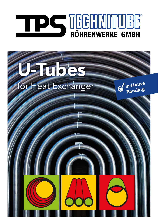# THE TECHNOMICS

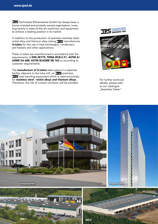**TPS** Technitube Röhrenwerke GmbH has always been a future-oriented and privately owned organisation, investing heavily in state-of-the-art machinery and equipment to achieve a leading position in its market.

In addition to the production of seamless stainless steel, nickel alloy and titanium alloy tubing  $\text{TS}$  manufactures U-tubes for the use in heat exchangers, condensers, pre-heaters and other applications.

These U-tubes are manufactured in accordance with the requirements of DIN 28179, TEMA RCB-2.31, ASTM A/ ASME SA 688, ASTM B/ASME SB 163 or according to customer requirements.

The **manufacture of U-tubes** takes place in a separate facility, adjacent to the tube mill, on  $\mathbb{TS}$  premises. **TPS** uses bending equipment which is used exclusively for stainless steel - nickel alloys and titanium alloys. Therefore, the risk of contact corrosion will be avoided.



For further technical details, please refer to our catalogue "Seamless Tubes".

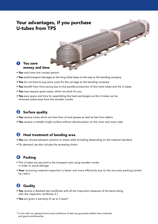# Your advantages, if you purchase U-tubes from TPS

### **1** You save money and time

- You only have one contact person
- You avoid transport damages to the long initial tubes on the way to the bending company
- You do not have to pay extra costs for the carriage to the bending company
- You benefit from time saving due to the parallel production of the initial tubes and the U-tubes
- You may request spare tubes, which we stock for you
- You save space and time for assembling the heat exchangers as the U-tubes can be removed radius-wise from the wooden combs

# 2 Surface quality

- You receive tubes which are free from oil and grease as well as free from debris
- You receive a metallic bright surface without discolouration on the inner and outer tube

### <sup>3</sup> Heat treatment of bending area

- You can choose between solution or stress relief annealing depending on the material standard
- On demand, we also include the annealing charts

# **4** Packing

- The U-tubes are secured to the transport-rack using wooden combs in order to avoid damage
- Your incoming material inspection is faster and more efficiently due to the accurate packing sorted by radius

# **6** Quality

- You receive a detailed test certificate with all the important measures of the bend along with the inspection certificate 3.1
- You are given a warranty of up to 3 years\*

\* In line with our general terms and conditions of sale we guarantee defect free materials and good workmanship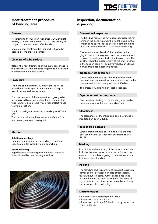

### Heat treatment procedure of bending area

### General

According to the German regulation AD-Merkblatt HP7/3, U-Tubes with a radius  $> 1.3$  D are usually not subject to heat treatment after bending.

Should a heat treatment be required, it has to be agreed before order placement.

### Cleaning of tube surface

Before the heat treatment of the tube, its surface in the zone that will be annealed is going to be cleaned in order to remove any residue.

### Procedure

The bend and maximum 300 mm of the leg will be heated to material-specific temperature through an electric resistance heat treatment.

The measurement of the temperature is going to be accomplished by an automatic infrared camera. The tube interior is going to be rinsed with protective gas to avoid oxidation.

A light oxide layer is permitted according to ASTM A 688.

The discolouration on the outer tube surface will be mechanically removed on request.

### Method

### Solution annealing:

Heating to a temperature according to material specification, followed by rapid quenching.

### Stress relieving:

Rapid heating according to the material specification followed by slow cooling in still air.



### Inspection, documentation & packing

### Dimensional inspection

The bending radius, the run-out respectively the flattening in the bending area, the wall thinning in the tension zone as well as the overall length are going to be documented once at each machine setting.

Furthermore a test bend of the smallest radius is ging to be cut in 4 segments and the minimum wall is going to be documented in the tension zone. On all other radii the measurement of the wall thickness in the tension zone will be performed by an ultrasonic wall thickness measuring device.

### Tightness test (optional)

Upon agreement, it is possible to perform a tightness test with demineralized water (deionate) on the U-tubes with a maximum pressure of 450 bar.

The pressure will be held at least 5 seconds.

### Dye penetrant test (optional)

Dye penetrant testing of the bending area can be agreed indicating the corresponding radii.

### **Cleanliness**

The cleanliness of the inside and outside surface is inspected on each U-tube.

### Test of free passage

Upon agreement, it is possible to prove the free passage by a ball passage test according to DIN 28179.

### Marking

In addition to the marking of the tube, a label that includes the information about the radius and the amount of the tubes is going to be attached at the first layer of each radius.

### Packing

The standard packing consists of transport racks with combs and foil protection (in case of transport by truck without reloading). Other packing has to be arranged during the order placement. The removal by radius is assured. If requested, the tube ends may be protected with plastic plugs.

### Documentation

Documentation according to EN 10204

- Inspection certificate 3.1. or
- Inspection certificate 3.2 (by third party inspection)
- Test certificate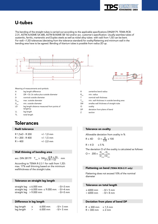

# U-tubes

The bending of the straight tubes is carried out according to the applicable specifications DIN28179, TEMA RCB-2.31, ASTM A/ASME SA 688, ASTM B/ASME SB 163 and/or acc. customer´s specification. Usually seamless tubes of austenitic, ferritic, martensitic and Duplex steels as well as nickel alloy tubes with radii from 1,5D can be bent. For radii <1,5D tolerances (deviating from the tolerance standard) for ovality/flattening and minimum wall in the bending area have to be agreed. Bending of titanium tubes is possible from radius 2D up.





Meaning of measurements and symbols:

A leg length difference

| Ε                   | $(2R + D)$ : 2x radius plus outside diameter            | $R_{\text{min}}$            |
|---------------------|---------------------------------------------------------|-----------------------------|
| D                   | nominal outside diameter                                |                             |
| $\mathsf{D}_{\max}$ | max. outside diamater                                   | $\mathsf{T}_{\mathsf{min}}$ |
| $\mathsf{D}_{\min}$ | min. outside diamater                                   | <b>SW</b>                   |
| LD                  | leg length distance measured from points of<br>tangency | <b>DP</b>                   |
| LL                  | leg length                                              |                             |
|                     | total length                                            |                             |

# **Tolerances**

### Radii tolerance

| R 1,5xD - R 200   | $+/- 1.0$ mm |
|-------------------|--------------|
| $R > 200 - R$ 400 | $+/- 1.5$ mm |
| R > 400           | $+/- 2,0$ mm |

### Wall thinning of bending area

acc. DIN 28179 T<sub>min</sub> ≥ SW<sub>2</sub> ( $\frac{(2 \text{ R} + \text{D})}{(\text{R} + \text{D})}$  mm

According to TEMA R-2.3 1 for radii from 1,5D: max. 17% wall thinning based on the minimum

max. The wall dimining based on the minimum<br>wallthickness of the straight tube.

### Tolerance on straight leg length

| straight leg $\leq 6.000$ mm                         | $-0/+3$ mm |
|------------------------------------------------------|------------|
| straight leg $> 6.000$ mm- $\leq$ 9.000 mm - 0/+4 mm |            |
| straight $leg > 9.000$ mm                            | $-0/+5$ mm |

### Difference in leg length

| leg length | ≤ | $6.000$ mm | $-0/+3$ mm |
|------------|---|------------|------------|
| leg length |   | $6.000$ mm | $-0/+5$ mm |

| R                         | centerline bend radius                      |
|---------------------------|---------------------------------------------|
| $R_{\min}$                | min. radius                                 |
| т                         | nominal wall thickness                      |
| $\mathsf{T}_{_{\sf min}}$ | min. wall thickness in outside bending area |
| SW                        | smalles wall thickness of straight tube     |
| O                         | ovality                                     |
| DΡ                        | deviation from plane of bend                |
| Z                         | section                                     |
|                           |                                             |

### Tolerance on ovality

Allowable deviation from ovality in %

$$
R \le 4D \qquad O = \frac{D}{5 R} \times 100
$$

 $R > 4 D \le 5 %$ 

The deviation O of the ovality is calculated as follows:

$$
O = 200 \times \frac{D_{\text{max}} - D_{\text{min}}}{D_{\text{max}} + D_{\text{min}}}
$$

Flattening does not exceed 10% of the nominal diameter

### Tolerance on total length

| $\leq 6000$ mm | $-0/+5$ mm |
|----------------|------------|
| $>6000$ mm     | $-0/+8$ mm |

### Deviation from plane of bend DP

| $R \leq 300$ mm | ≤ 1,5 mm    |
|-----------------|-------------|
| $R > 300$ mm    | $\leq$ 2 mm |